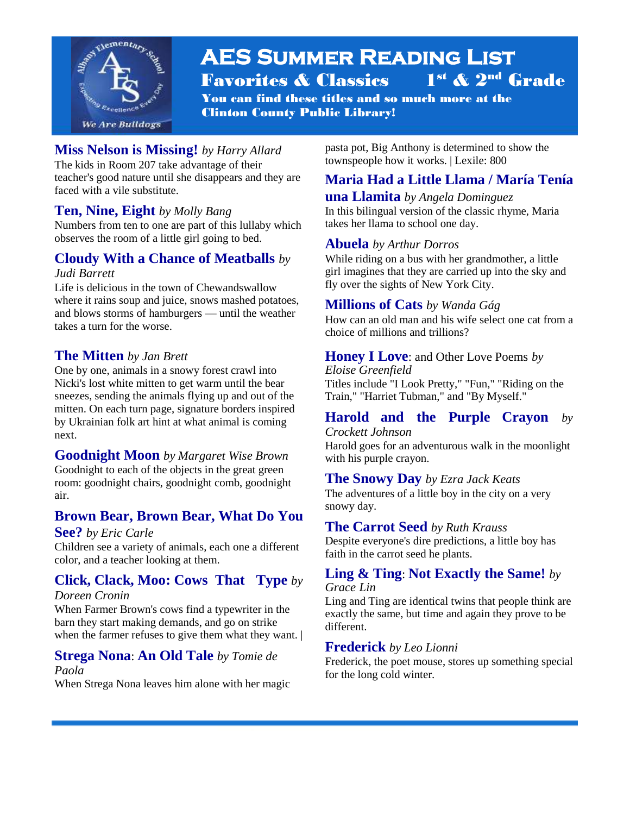

#### **AES Summer Reading List**  Favorites & Classics 1 1<sup>st</sup> & 2<sup>nd</sup> Grade

You can find these titles and so much more at the Clinton County Public Library!

### **Miss Nelson is Missing!** *by Harry Allard*

The kids in Room 207 take advantage of their teacher's good nature until she disappears and they are faced with a vile substitute.

l

#### **Ten, Nine, Eight** *by Molly Bang*

Numbers from ten to one are part of this lullaby which observes the room of a little girl going to bed.

# **Cloudy With a Chance of Meatballs** *by*

#### *Judi Barrett*

Life is delicious in the town of Chewandswallow where it rains soup and juice, snows mashed potatoes, and blows storms of hamburgers — until the weather takes a turn for the worse.

#### **The Mitten** *by Jan Brett*

One by one, animals in a snowy forest crawl into Nicki's lost white mitten to get warm until the bear sneezes, sending the animals flying up and out of the mitten. On each turn page, signature borders inspired by Ukrainian folk art hint at what animal is coming next.

#### **Goodnight Moon** *by Margaret Wise Brown* Goodnight to each of the objects in the great green

room: goodnight chairs, goodnight comb, goodnight air.

## **Brown Bear, Brown Bear, What Do You**

#### **See?** *by Eric Carle*

Children see a variety of animals, each one a different color, and a teacher looking at them.

## **Click, Clack, Moo: Cows That Type** *by*

#### *Doreen Cronin*

When Farmer Brown's cows find a typewriter in the barn they start making demands, and go on strike when the farmer refuses to give them what they want. |

#### **Strega Nona**: **An Old Tale** *by Tomie de*

#### *Paola*

When Strega Nona leaves him alone with her magic

pasta pot, Big Anthony is determined to show the townspeople how it works. | Lexile: 800

# **Maria Had a Little Llama / María Tenía**

# **una Llamita** *by Angela Dominguez*

In this bilingual version of the classic rhyme, Maria takes her llama to school one day.

#### **Abuela** *by Arthur Dorros*

While riding on a bus with her grandmother, a little girl imagines that they are carried up into the sky and fly over the sights of New York City.

#### **Millions of Cats** *by Wanda Gág*

How can an old man and his wife select one cat from a choice of millions and trillions?

# **Honey I Love**: and Other Love Poems *by*

*Eloise Greenfield* Titles include "I Look Pretty," "Fun," "Riding on the Train," "Harriet Tubman," and "By Myself."

# **Harold and the Purple Crayon** *by*

*Crockett Johnson*

Harold goes for an adventurous walk in the moonlight with his purple crayon.

#### **The Snowy Day** *by Ezra Jack Keats*

The adventures of a little boy in the city on a very snowy day.

#### **The Carrot Seed** *by Ruth Krauss*

Despite everyone's dire predictions, a little boy has faith in the carrot seed he plants.

#### **Ling & Ting**: **Not Exactly the Same!** *by Grace Lin*

Ling and Ting are identical twins that people think are exactly the same, but time and again they prove to be different.

#### **Frederick** *by Leo Lionni*

Frederick, the poet mouse, stores up something special for the long cold winter.